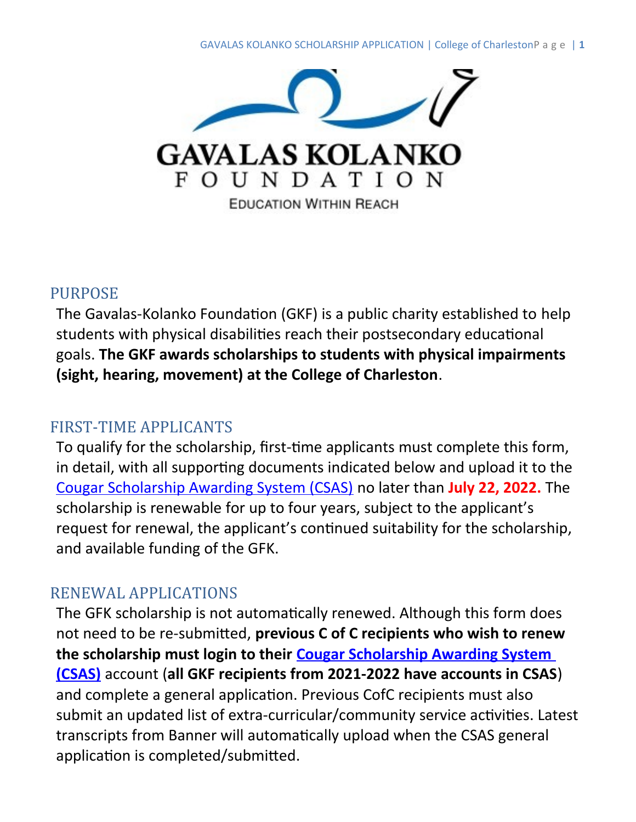

#### PURPOSE

The Gavalas-Kolanko Foundation (GKF) is a public charity established to help students with physical disabilities reach their postsecondary educational goals. **The GKF awards scholarships to students with physical impairments (sight, hearing, movement) at the College of Charleston**.

#### FIRST-TIME APPLICANTS

To qualify for the scholarship, first-time applicants must complete this form, in detail, with all supporting documents indicated below and upload it to the [Cougar Scholarship Awarding System \(CSAS\)](https://finaid.cofc.edu/types-of-financial-aid/scholarships/cougar-scholarship-awarding-system-csas/index.php) no later than **July 22, 2022.** The scholarship is renewable for up to four years, subject to the applicant's request for renewal, the applicant's continued suitability for the scholarship, and available funding of the GFK.

# RENEWAL APPLICATIONS

The GFK scholarship is not automatically renewed. Although this form does not need to be re-submitted, **previous C of C recipients who wish to renew the scholarship must login to their [Cougar Scholarship Awarding System](https://finaid.cofc.edu/types-of-financial-aid/scholarships/cougar-scholarship-awarding-system-csas/index.php)  [\(CSAS\)](https://finaid.cofc.edu/types-of-financial-aid/scholarships/cougar-scholarship-awarding-system-csas/index.php)** account (**all GKF recipients from 2021-2022 have accounts in CSAS**) and complete a general application. Previous CofC recipients must also submit an updated list of extra-curricular/community service activities. Latest transcripts from Banner will automatically upload when the CSAS general application is completed/submitted.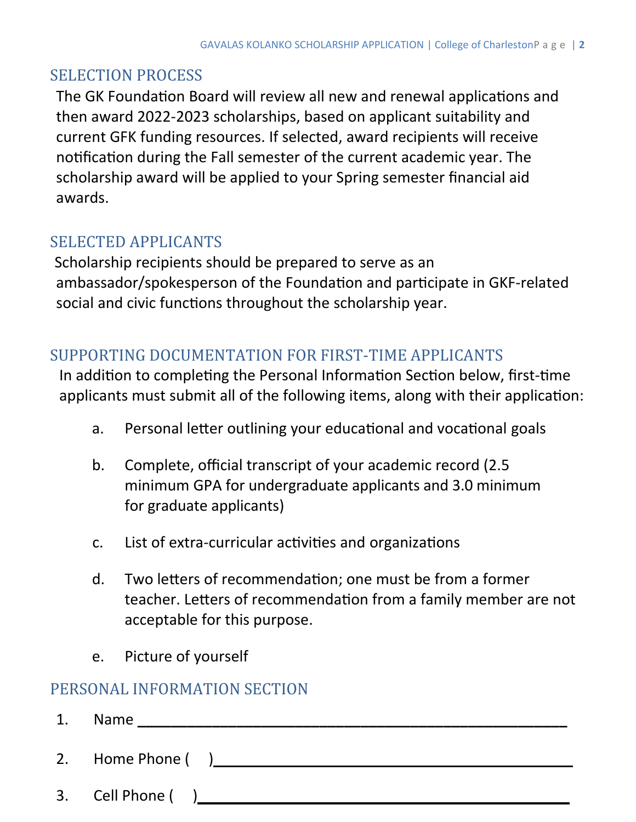# SELECTION PROCESS

The GK Foundation Board will review all new and renewal applications and then award 2022-2023 scholarships, based on applicant suitability and current GFK funding resources. If selected, award recipients will receive notification during the Fall semester of the current academic year. The scholarship award will be applied to your Spring semester financial aid awards.

#### SELECTED APPLICANTS

Scholarship recipients should be prepared to serve as an ambassador/spokesperson of the Foundation and participate in GKF-related social and civic functions throughout the scholarship year.

# SUPPORTING DOCUMENTATION FOR FIRST-TIME APPLICANTS

In addition to completing the Personal Information Section below, first-time applicants must submit all of the following items, along with their application:

- a. Personal letter outlining your educational and vocational goals
- b. Complete, official transcript of your academic record (2.5 minimum GPA for undergraduate applicants and 3.0 minimum for graduate applicants)
- c. List of extra-curricular activities and organizations
- d. Two letters of recommendation; one must be from a former teacher. Letters of recommendation from a family member are not acceptable for this purpose.
- e. Picture of yourself

# PERSONAL INFORMATION SECTION

- 1. Name **\_\_\_\_\_\_\_\_\_\_\_\_\_\_\_\_\_\_\_\_\_\_\_\_\_\_\_\_\_\_\_\_\_\_\_\_\_\_\_\_\_\_\_\_\_\_\_\_\_\_\_\_**
- 2. Home Phone ( )
- 3. Cell Phone ( )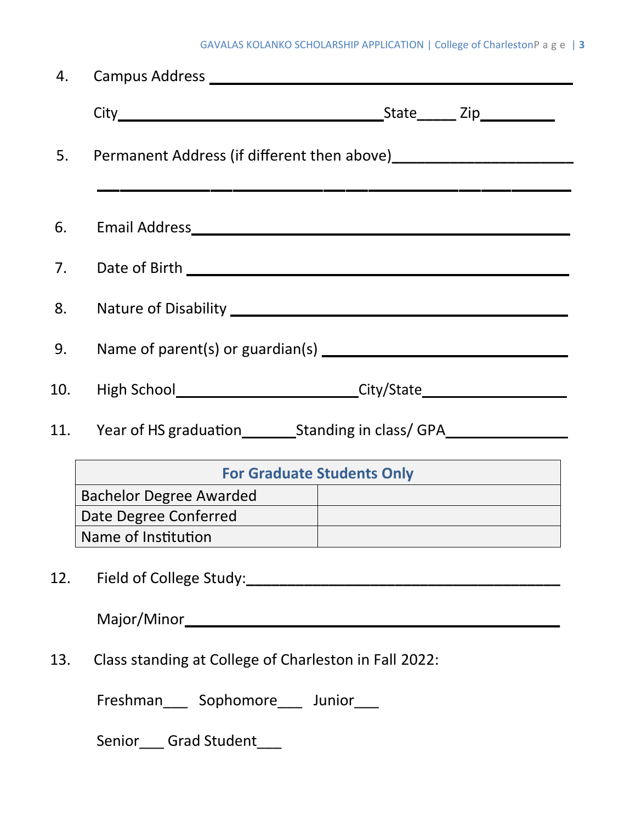|     | 5. Permanent Address (if different then above)__________________________________ |                                                                                  |  |  |  |
|-----|----------------------------------------------------------------------------------|----------------------------------------------------------------------------------|--|--|--|
| 6.  |                                                                                  |                                                                                  |  |  |  |
|     |                                                                                  |                                                                                  |  |  |  |
| 8.  |                                                                                  |                                                                                  |  |  |  |
| 9.  |                                                                                  |                                                                                  |  |  |  |
|     |                                                                                  | 10. High School______________________________City/State_________________________ |  |  |  |
|     | 11. Year of HS graduation__________Standing in class/ GPA_______________________ |                                                                                  |  |  |  |
|     | <b>For Graduate Students Only</b>                                                |                                                                                  |  |  |  |
|     | <b>Bachelor Degree Awarded</b>                                                   |                                                                                  |  |  |  |
|     | Date Degree Conferred                                                            |                                                                                  |  |  |  |
|     | Name of Institution                                                              |                                                                                  |  |  |  |
| 12. |                                                                                  |                                                                                  |  |  |  |
|     |                                                                                  |                                                                                  |  |  |  |
| 13. | Class standing at College of Charleston in Fall 2022:                            |                                                                                  |  |  |  |

Freshman\_\_\_ Sophomore\_\_\_ Junior\_\_\_

Senior\_\_\_ Grad Student\_\_\_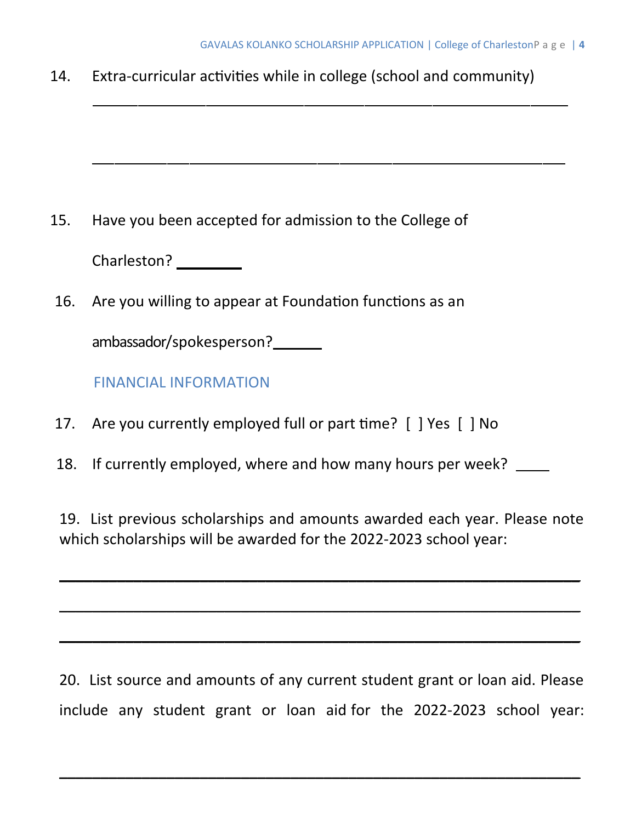14. Extra-curricular activities while in college (school and community)

15. Have you been accepted for admission to the College of

Charleston? \_\_\_\_\_\_\_\_

16. Are you willing to appear at Foundation functions as an

ambassador/spokesperson?

FINANCIAL INFORMATION

- 17. Are you currently employed full or part time? [ ] Yes [ ] No
- 18. If currently employed, where and how many hours per week? \_\_\_\_

19. List previous scholarships and amounts awarded each year. Please note which scholarships will be awarded for the 2022-2023 school year:

\_\_\_\_\_\_\_\_\_\_\_\_\_\_\_\_\_\_\_\_\_\_\_\_\_\_\_\_\_\_\_\_\_\_\_\_\_\_\_\_\_\_\_\_\_\_\_\_\_\_\_\_\_\_\_\_\_\_\_\_\_\_\_

\_\_\_\_\_\_\_\_\_\_\_\_\_\_\_\_\_\_\_\_\_\_\_\_\_\_\_\_\_\_\_\_\_\_\_\_\_\_\_\_\_\_\_\_\_\_\_\_\_\_\_\_\_\_\_\_\_\_\_\_\_\_\_

\_\_\_\_\_\_\_\_\_\_\_\_\_\_\_\_\_\_\_\_\_\_\_\_\_\_\_\_\_\_\_\_\_\_\_\_\_\_\_\_\_\_\_\_\_\_\_\_\_\_\_\_\_\_\_\_\_\_\_\_\_\_\_

20. List source and amounts of any current student grant or loan aid. Please include any student grant or loan aid for the 2022-2023 school year:

**\_\_\_\_\_\_\_\_\_\_\_\_\_\_\_\_\_\_\_\_\_\_\_\_\_\_\_\_\_\_\_\_\_\_\_\_\_\_\_\_\_\_\_\_\_\_\_\_\_\_\_\_\_\_\_\_\_\_\_\_\_\_\_**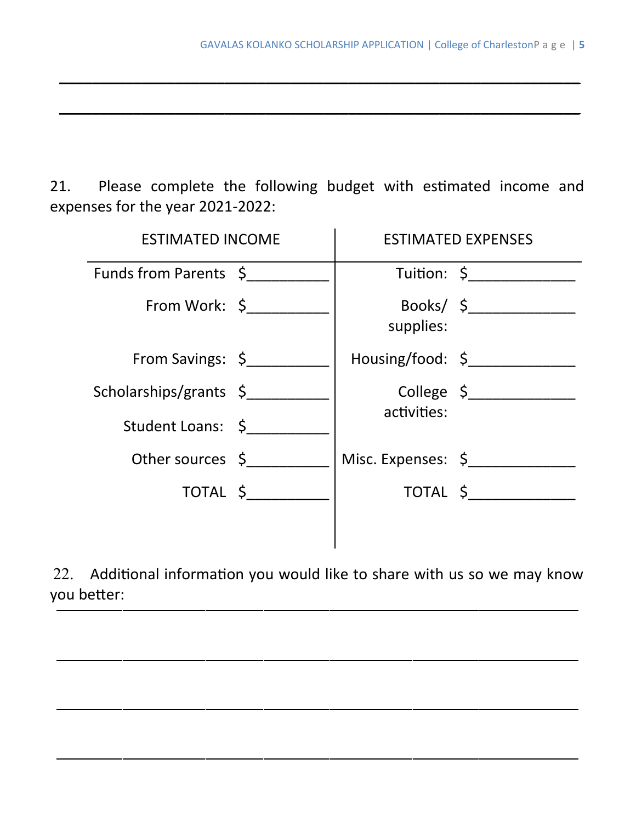21. Please complete the following budget with estimated income and expenses for the year 2021-2022:

**\_\_\_\_\_\_\_\_\_\_\_\_\_\_\_\_\_\_\_\_\_\_\_\_\_\_\_\_\_\_\_\_\_\_\_\_\_\_\_\_\_\_\_\_\_\_\_\_\_\_\_\_\_\_\_\_\_\_\_\_\_\_\_**

**\_\_\_\_\_\_\_\_\_\_\_\_\_\_\_\_\_\_\_\_\_\_\_\_\_\_\_\_\_\_\_\_\_\_\_\_\_\_\_\_\_\_\_\_\_\_\_\_\_\_\_\_\_\_\_\_\_\_\_\_\_\_\_**

| <b>ESTIMATED INCOME</b> |  | <b>ESTIMATED EXPENSES</b> |             |
|-------------------------|--|---------------------------|-------------|
| Funds from Parents \$   |  |                           | Tuition: \$ |
| From Work: $\zeta$      |  | supplies:                 |             |
| From Savings: \$        |  | Housing/food: \$          |             |
| Scholarships/grants \$  |  | activities:               | College \$  |
| Student Loans: \$       |  |                           |             |
| Other sources \$        |  | Misc. Expenses: \$        |             |
| TOTAL \$                |  |                           | TOTAL \$    |
|                         |  |                           |             |

22. Additional information you would like to share with us so we may know you better: